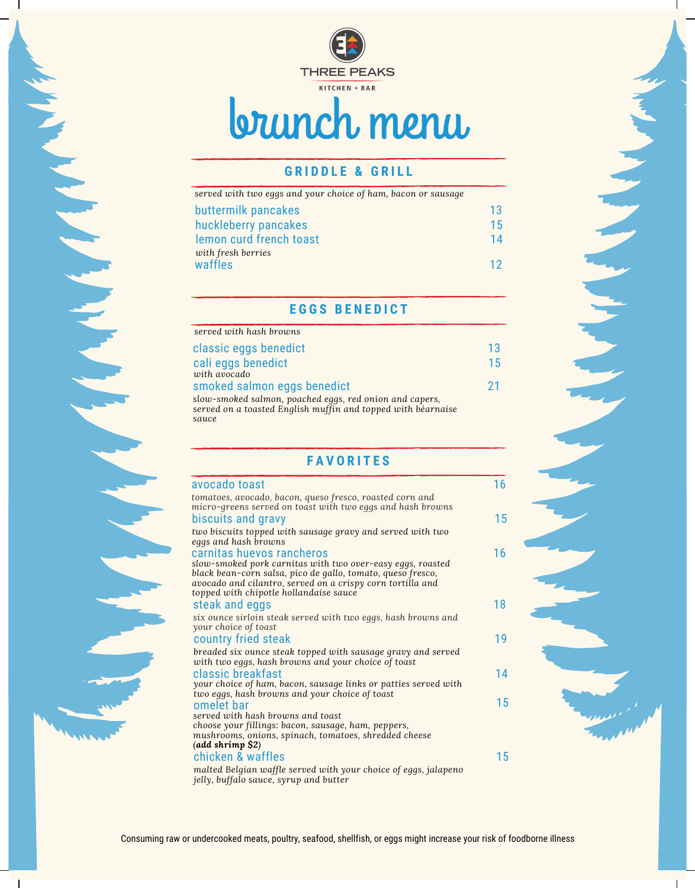

# brunch menu

# **G R I D D L E & G R I L L**

| served with two eggs and your choice of ham, bacon or sausage |  |
|---------------------------------------------------------------|--|
| buttermilk pancakes                                           |  |
| huckleberry pancakes                                          |  |
| lemon curd french toast                                       |  |
| with fresh berries<br>waffles                                 |  |

### **E G G S B E N E D I C T**

| served with hash browns                                 |     |
|---------------------------------------------------------|-----|
| classic eggs benedict                                   | 13. |
| cali eggs benedict                                      | 15  |
| with avocado                                            |     |
| smoked salmon eggs benedict                             | 21  |
| slow-smoked salmon, poached eggs, red onion and capers, |     |

*served on a toasted English muffin and topped with béarnaise sauce*

## **F A V O R I T E S**

| avocado toast                                                                                                                                                                                                                     |
|-----------------------------------------------------------------------------------------------------------------------------------------------------------------------------------------------------------------------------------|
| tomatoes, avocado, bacon, queso fresco, roasted corn and<br>micro-greens served on toast with two eggs and hash browns                                                                                                            |
| biscuits and gravy                                                                                                                                                                                                                |
| two biscuits topped with sausage gravy and served with two<br>eggs and hash browns                                                                                                                                                |
| carnitas huevos rancheros                                                                                                                                                                                                         |
| slow-smoked pork carnitas with two over-easy eggs, roasted<br>black bean-corn salsa, pico de gallo, tomato, queso fresco,<br>avocado and cilantro, served on a crispy corn tortilla and<br>topped with chipotle hollandaise sauce |
| steak and eggs                                                                                                                                                                                                                    |
| six ounce sirloin steak served with two eggs, hash browns and<br>your choice of toast                                                                                                                                             |
| country fried steak                                                                                                                                                                                                               |
| breaded six ounce steak topped with sausage gravy and served<br>with two eggs, hash browns and your choice of toast                                                                                                               |
| classic breakfast                                                                                                                                                                                                                 |
| your choice of ham, bacon, sausage links or patties served with<br>two eggs, hash browns and your choice of toast                                                                                                                 |
| omelet bar                                                                                                                                                                                                                        |
| served with hash browns and toast                                                                                                                                                                                                 |
| choose your fillings: bacon, sausage, ham, peppers,                                                                                                                                                                               |
| mushrooms, onions, spinach, tomatoes, shredded cheese<br>$(add\text{ shrimp }$ \$2)                                                                                                                                               |
| chicken & waffles                                                                                                                                                                                                                 |
| malted Belgian waffle served with your choice of eggs, jalapeno<br>jelly, buffalo sauce, syrup and butter                                                                                                                         |

13 15

 $\overline{2}$ 

16

15

16

18

19

14

15

15

14